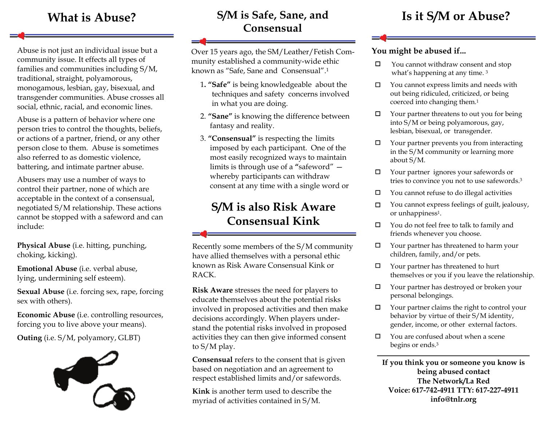Abuse is not just an individual issue but a community issue. It effects all types of families and communities including S/M, traditional, straight, polyamorous, monogamous, lesbian, gay, bisexual, and transgender communities. Abuse crosses all social, ethnic, racial, and economic lines.

Abuse is a pattern of behavior where one person tries to control the thoughts, beliefs, or actions of a partner, friend, or any other person close to them. Abuse is sometimes also referred to as domestic violence, battering, and intimate partner abuse.

Abusers may use a number of ways to control their partner, none of which are acceptable in the context of a consensual, negotiated S/M relationship. These actions cannot be stopped with a safeword and can include:

**Physical Abuse** (i.e. hitting, punching, choking, kicking).

**Emotional Abuse** (i.e. verbal abuse, lying, undermining self esteem).

**Sexual Abuse** (i.e. forcing sex, rape, forcing sex with others).

**Economic Abuse** (i.e. controlling resources, forcing you to live above your means).

**Outing** (i.e. S/M, polyamory, GLBT)



#### **S/M is Safe, Sane, and ConsensualWhat is Abuse?** S/M is Safe, Sane, and Is it S/M or Abuse?

Over 15 years ago, the SM/Leather/Fetish Community established a community-wide ethic known as "Safe, Sane and Consensual".1

- <sup>1</sup>**. "Safe"** is being knowledgeable about the techniques and safety concerns involved in what you are doing.
- 2. **"Sane"** is knowing the difference between fantasy and reality.
- 3. **"Consensual"** is respecting the limits imposed by each participant. One of the most easily recognized ways to maintain limits is through use of a **"**safeword" whereby participants can withdraw consent at any time with a single word or

# **S/M is also Risk Aware Consensual Kink**

Recently some members of the S/M community have allied themselves with a personal ethic known as Risk Aware Consensual Kink or RACK.

**Risk Aware** stresses the need for players to educate themselves about the potential risks involved in proposed activities and then make decisions accordingly. When players understand the potential risks involved in proposed activities they can then give informed consent to S/M play.

**Consensual** refers to the consent that is given based on negotiation and an agreement to respect established limits and/or safewords.

**Kink** is another term used to describe the myriad of activities contained in S/M.

#### **You might be abused if...**

- You cannot withdraw consent and stop . what's happening at any time. 3
- $\Box$ You cannot express limits and needs with out being ridiculed, criticized, or being coerced into changing them.1
- $\Box$  Your partner threatens to out you for being into S/M or being polyamorous, gay, lesbian, bisexual, or transgender.
- $\Box$  Your partner prevents you from interacting in the S/M community or learning more about S/M.
- Your partner ignores your safewords or tries to convince you not to use safewords.3
- $\Box$  You cannot refuse to do illegal activities
- □ You cannot express feelings of guilt, jealousy, or unhappiness<sup>1</sup>.
- $\Box$  You do not feel free to talk to family and friends whenever you choose.
- Your partner has threatened to harm your children, family, and/or pets.
- $\Box$  Your partner has threatened to hurt themselves or you if you leave the relationship.
- Your partner has destroyed or broken your personal belongings.
- $\Box$  Your partner claims the right to control your behavior by virtue of their S/M identity, gender, income, or other external factors.
- $\Box$  You are confused about when a scene begins or ends.3

**If you think you or someone you know is being abused contact The Network/La Red Voice: 617-742-4911 TTY: 617-227-4911 info@tnlr.org**